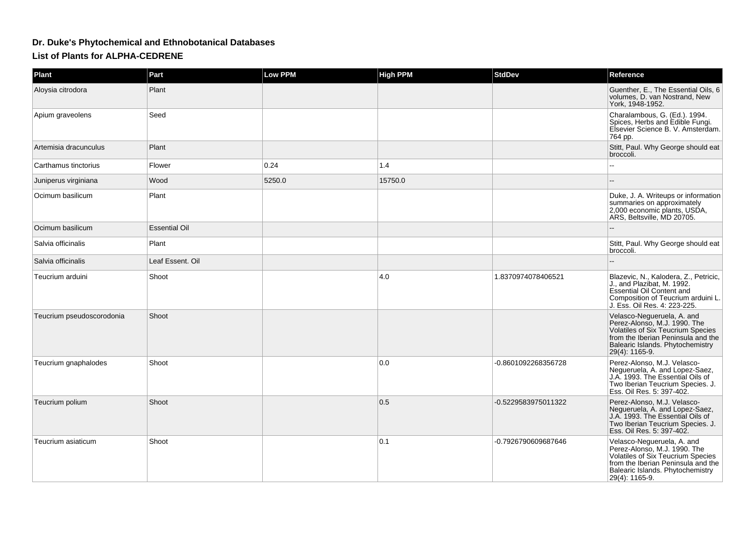## **Dr. Duke's Phytochemical and Ethnobotanical Databases**

**List of Plants for ALPHA-CEDRENE**

| Plant                     | Part                 | <b>Low PPM</b> | <b>High PPM</b> | <b>StdDev</b>       | Reference                                                                                                                                                                                          |
|---------------------------|----------------------|----------------|-----------------|---------------------|----------------------------------------------------------------------------------------------------------------------------------------------------------------------------------------------------|
| Aloysia citrodora         | Plant                |                |                 |                     | Guenther, E., The Essential Oils, 6<br>volumes, D. van Nostrand, New<br>York, 1948-1952.                                                                                                           |
| Apium graveolens          | Seed                 |                |                 |                     | Charalambous, G. (Ed.). 1994.<br>Spices, Herbs and Edible Fungi.<br>Elsevier Science B. V. Amsterdam.<br>764 pp.                                                                                   |
| Artemisia dracunculus     | Plant                |                |                 |                     | Stitt, Paul. Why George should eat<br>broccoli.                                                                                                                                                    |
| Carthamus tinctorius      | Flower               | 0.24           | 1.4             |                     |                                                                                                                                                                                                    |
| Juniperus virginiana      | Wood                 | 5250.0         | 15750.0         |                     | $\overline{a}$                                                                                                                                                                                     |
| Ocimum basilicum          | Plant                |                |                 |                     | Duke, J. A. Writeups or information<br>summaries on approximately<br>2,000 economic plants, USDA,<br>ARS, Beltsville, MD 20705.                                                                    |
| Ocimum basilicum          | <b>Essential Oil</b> |                |                 |                     |                                                                                                                                                                                                    |
| Salvia officinalis        | Plant                |                |                 |                     | Stitt, Paul. Why George should eat<br>broccoli.                                                                                                                                                    |
| Salvia officinalis        | Leaf Essent. Oil     |                |                 |                     |                                                                                                                                                                                                    |
| Teucrium arduini          | Shoot                |                | 4.0             | 1.8370974078406521  | Blazevic, N., Kalodera, Z., Petricic,<br>J., and Plazibat, M. 1992.<br><b>Essential Oil Content and</b><br>Composition of Teucrium arduini L.<br>J. Ess. Oil Res. 4: 223-225.                      |
| Teucrium pseudoscorodonia | Shoot                |                |                 |                     | Velasco-Negueruela, A. and<br>Perez-Alonso, M.J. 1990. The<br><b>Volatiles of Six Teucrium Species</b><br>from the Iberian Peninsula and the<br>Balearic Islands. Phytochemistry<br>29(4): 1165-9. |
| Teucrium gnaphalodes      | Shoot                |                | 0.0             | -0.8601092268356728 | Perez-Alonso, M.J. Velasco-<br>Negueruela, A. and Lopez-Saez,<br>J.A. 1993. The Essential Oils of<br>Two Iberian Teucrium Species. J.<br>Ess. Oil Res. 5: 397-402.                                 |
| Teucrium polium           | Shoot                |                | 0.5             | -0.5229583975011322 | Perez-Alonso, M.J. Velasco-<br>Nequeruela, A. and Lopez-Saez,<br>J.A. 1993. The Essential Oils of<br>Two Iberian Teucrium Species. J.<br>Ess. Oil Res. 5: 397-402.                                 |
| Teucrium asiaticum        | Shoot                |                | 0.1             | -0.7926790609687646 | Velasco-Negueruela, A. and<br>Perez-Alonso, M.J. 1990. The<br>Volatiles of Six Teucrium Species<br>from the Iberian Peninsula and the<br>Balearic Islands. Phytochemistry<br>29(4): 1165-9.        |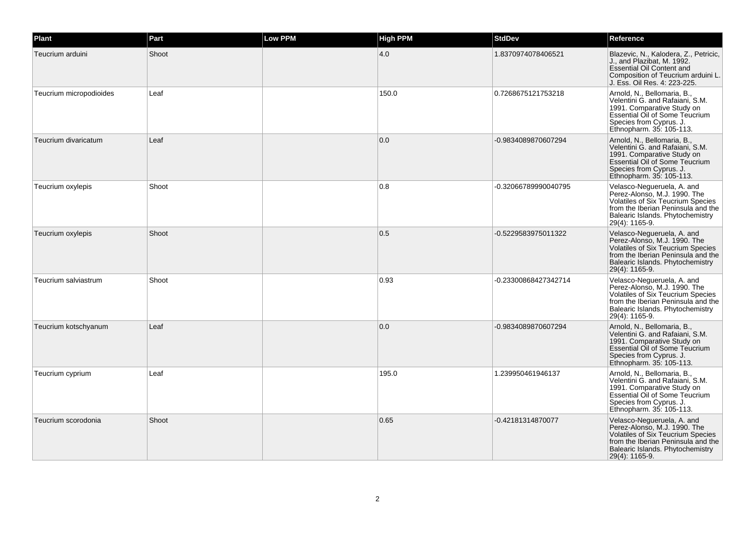| Plant                   | Part  | <b>Low PPM</b> | <b>High PPM</b> | <b>StdDev</b>        | Reference                                                                                                                                                                                          |
|-------------------------|-------|----------------|-----------------|----------------------|----------------------------------------------------------------------------------------------------------------------------------------------------------------------------------------------------|
| Teucrium arduini        | Shoot |                | 4.0             | 1.8370974078406521   | Blazevic, N., Kalodera, Z., Petricic,<br>J., and Plazibat, M. 1992.<br><b>Essential Oil Content and</b><br>Composition of Teucrium arduini L.<br>J. Ess. Oil Res. 4: 223-225.                      |
| Teucrium micropodioides | Leaf  |                | 150.0           | 0.7268675121753218   | Arnold, N., Bellomaria, B.,<br>Velentini G. and Rafaiani, S.M.<br>1991. Comparative Study on<br>Essential Oil of Some Teucrium<br>Species from Cyprus. J.<br>Ethnopharm. 35: 105-113.              |
| Teucrium divaricatum    | Leaf  |                | 0.0             | -0.9834089870607294  | Arnold, N., Bellomaria, B.,<br>Velentini G. and Rafaiani, S.M.<br>1991. Comparative Study on<br><b>Essential Oil of Some Teucrium</b><br>Species from Cyprus. J.<br>Ethnopharm. 35: 105-113.       |
| Teucrium oxylepis       | Shoot |                | 0.8             | -0.32066789990040795 | Velasco-Nequeruela, A. and<br>Perez-Alonso, M.J. 1990. The<br><b>Volatiles of Six Teucrium Species</b><br>from the Iberian Peninsula and the<br>Balearic Islands. Phytochemistry<br>29(4): 1165-9. |
| Teucrium oxylepis       | Shoot |                | 0.5             | -0.5229583975011322  | Velasco-Negueruela, A. and<br>Perez-Alonso, M.J. 1990. The<br>Volatiles of Six Teucrium Species<br>from the Iberian Peninsula and the<br>Balearic Islands. Phytochemistry<br>29(4): 1165-9.        |
| Teucrium salviastrum    | Shoot |                | 0.93            | -0.23300868427342714 | Velasco-Nequeruela, A. and<br>Perez-Alonso, M.J. 1990. The<br><b>Volatiles of Six Teucrium Species</b><br>from the Iberian Peninsula and the<br>Balearic Islands. Phytochemistry<br>29(4): 1165-9. |
| Teucrium kotschyanum    | Leaf  |                | 0.0             | -0.9834089870607294  | Arnold, N., Bellomaria, B.,<br>Velentini G. and Rafaiani, S.M.<br>1991. Comparative Study on<br>Essential Oil of Some Teucrium<br>Species from Cyprus. J.<br>Ethnopharm. 35: 105-113.              |
| Teucrium cyprium        | Leaf  |                | 195.0           | 1.239950461946137    | Arnold, N., Bellomaria, B.,<br>Velentini G. and Rafaiani, S.M.<br>1991. Comparative Study on<br><b>Essential Oil of Some Teucrium</b><br>Species from Cyprus. J.<br>Ethnopharm. 35: 105-113.       |
| Teucrium scorodonia     | Shoot |                | 0.65            | -0.42181314870077    | Velasco-Negueruela, A. and<br>Perez-Alonso, M.J. 1990. The<br>Volatiles of Six Teucrium Species<br>from the Iberian Peninsula and the<br>Balearic Islands. Phytochemistry<br>29(4): 1165-9.        |